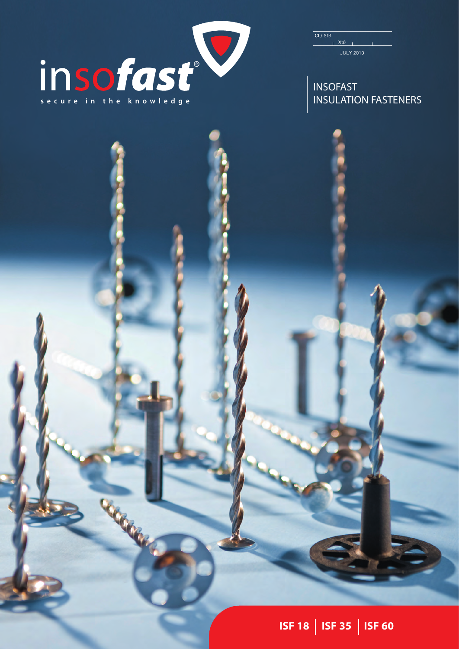

**CERCERS** 

# INSOFAST<br>INSULATION FASTENERS

**ISF 18 | ISF 35 | ISF 60**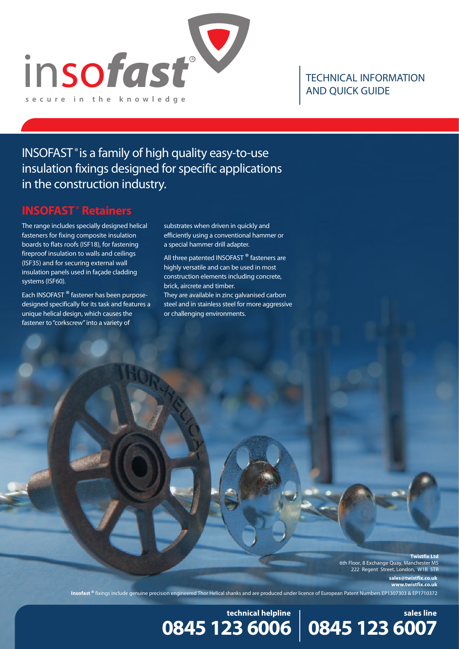

### TECHNICAL INFORMATION AND QUICK GUIDE

INSOFAST<sup>®</sup> is a family of high quality easy-to-use insulation fixings designed for specific applications in the construction industry.

### **INSOFAST<sup>®</sup> Retainers**

The range includes specially designed helical fasteners for fixing composite insulation boards to flats roofs (ISF18), for fastening fireproof insulation to walls and ceilings (ISF35) and for securing external wall insulation panels used in façade cladding systems (ISF60).

Each INSOFAST ® fastener has been purposedesigned specifically for its task and features a unique helical design, which causes the fastener to "corkscrew" into a variety of

substrates when driven in quickly and efficiently using a conventional hammer or a special hammer drill adapter.

All three patented INSOFAST<sup>®</sup> fasteners are highly versatile and can be used in most construction elements including concrete, brick, aircrete and timber. They are available in zinc galvanised carbon steel and in stainless steel for more aggressive or challenging environments.

> **Twistfix Ltd** 6th Floor, 8 Exchange Quay, Manchester M5 222 Regent Street, London, W1B 5TR **sales@twistfix.co.uk www.twistfix.co.uk**

**Insofast** fixings include genuine precision engineered Thor Helical shanks and are produced under licence of European Patent Numbers EP1307303 & EP1710372 ®

**technical helpline** 

**0845 123 6007 0845 123 6006 sales line**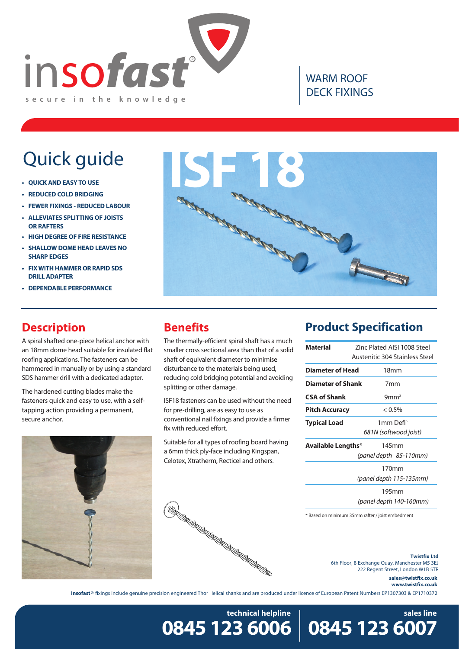

### WARM ROOF DECK FIXINGS

- **• QUICK AND EASY TO USE**
- **REDUCED COLD BRIDGING**
- **FEWER FIXINGS REDUCED LABOUR**
- **ALLEVIATES SPLITTING OF JOISTS OR RAFTERS**
- **HIGH DEGREE OF FIRE RESISTANCE**
- **SHALLOW DOME HEAD LEAVES NO SHARP EDGES**
- **FIX WITH HAMMER OR RAPID SDS DRILL ADAPTER**
- **DEPENDABLE PERFORMANCE**

### **Description**

A spiral shafted one-piece helical anchor with an 18mm dome head suitable for insulated flat roofing applications. The fasteners can be hammered in manually or by using a standard SDS hammer drill with a dedicated adapter.

The hardened cutting blades make the fasteners quick and easy to use, with a selftapping action providing a permanent, secure anchor.





### **Benefits**

The thermally-efficient spiral shaft has a much smaller cross sectional area than that of a solid shaft of equivalent diameter to minimise disturbance to the materials being used, reducing cold bridging potential and avoiding splitting or other damage.

ISF18 fasteners can be used without the need for pre-drilling, are as easy to use as conventional nail fixings and provide a firmer fix with reduced effort.

Suitable for all types of roofing board having a 6mm thick ply-face including Kingspan, Celotex, Xtratherm, Recticel and others.

![](_page_2_Picture_20.jpeg)

### **Product Specification**

| <b>Material</b>          | Zinc Plated AISI 1008 Steel    |
|--------------------------|--------------------------------|
|                          | Austenitic 304 Stainless Steel |
| <b>Diameter of Head</b>  | 18 <sub>mm</sub>               |
| <b>Diameter of Shank</b> | 7mm                            |
| <b>CSA of Shank</b>      | 9mm <sup>2</sup>               |
| <b>Pitch Accuracy</b>    | $< 0.5\%$                      |
| <b>Typical Load</b>      | 1mm Defl <sup>n</sup>          |
|                          | 681N (softwood joist)          |
| Available Lengths*       | 145mm                          |
|                          | (panel depth 85-110mm)         |
|                          | 170mm                          |
|                          | (panel depth 115-135mm)        |
|                          | 195mm                          |

(panel depth 140-160mm)

\* Based on minimum 35mm rafter / joist embedment

**Twistfix Ltd** 6th Floor, 8 Exchange Quay, Manchester M5 3EJ 222 Regent Street, London W1B 5TR

> **sales@twistfix.co.uk www.twistfix.co.uk**

**Insofast**® fixings include genuine precision engineered Thor Helical shanks and are produced under licence of European Patent Numbers EP1307303 & EP1710372

**0845 123 6006 technical helpline** 

**0845 123 6007 sales line**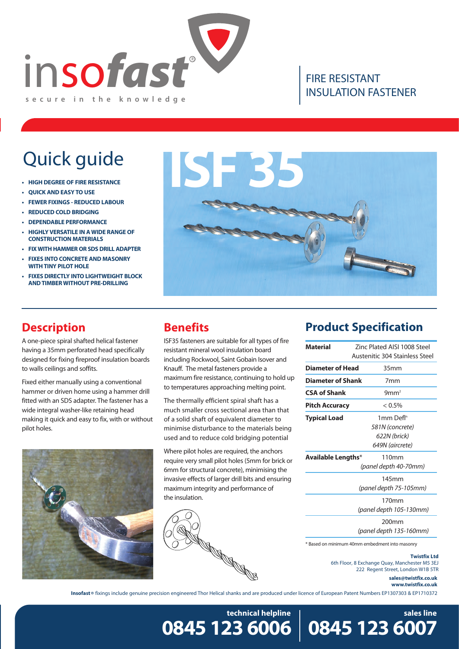![](_page_3_Picture_0.jpeg)

### FIRE RESISTANT INSULATION FASTENER

- **HIGH DEGREE OF FIRE RESISTANCE**
- **QUICK AND EASY TO USE**
- **FEWER FIXINGS REDUCED LABOUR**
- **REDUCED COLD BRIDGING**
- **DEPENDABLE PERFORMANCE**
- **HIGHLY VERSATILE IN A WIDE RANGE OF CONSTRUCTION MATERIALS**
- **FIX WITH HAMMER OR SDS DRILL ADAPTER**
- **FIXES INTO CONCRETE AND MASONRY WITH TINY PILOT HOLE**
- **FIXES DIRECTLY INTO LIGHTWEIGHT BLOCK AND TIMBER WITHOUT PRE-DRILLING**

### **Description**

A one-piece spiral shafted helical fastener having a 35mm perforated head specifically designed for fixing fireproof insulation boards to walls ceilings and soffits.

Fixed either manually using a conventional hammer or driven home using a hammer drill fitted with an SDS adapter. The fastener has a wide integral washer-like retaining head making it quick and easy to fix, with or without pilot holes.

![](_page_3_Picture_15.jpeg)

# Quick guide **ISF 35**

### **Benefits**

ISF35 fasteners are suitable for all types of fire resistant mineral wool insulation board including Rockwool, Saint Gobain Isover and Knauff. The metal fasteners provide a maximum fire resistance, continuing to hold up to temperatures approaching melting point.

The thermally efficient spiral shaft has a much smaller cross sectional area than that of a solid shaft of equivalent diameter to minimise disturbance to the materials being used and to reduce cold bridging potential

Where pilot holes are required, the anchors require very small pilot holes (5mm for brick or 6mm for structural concrete), minimising the invasive effects of larger drill bits and ensuring maximum integrity and performance of the insulation.

# **All Contractions**

### **Product Specification**

| Material                 | Zinc Plated AISI 1008 Steel<br>Austenitic 304 Stainless Steel |
|--------------------------|---------------------------------------------------------------|
| <b>Diameter of Head</b>  | 35mm                                                          |
| <b>Diameter of Shank</b> | 7 <sub>mm</sub>                                               |
| <b>CSA of Shank</b>      | 9mm <sup>2</sup>                                              |
| <b>Pitch Accuracy</b>    | $< 0.5\%$                                                     |
| <b>Typical Load</b>      | 1mm Defl <sup>n</sup>                                         |
|                          | 581N (concrete)                                               |
|                          | 622N (brick)                                                  |
|                          | 649N (aircrete)                                               |
| Available Lengths*       | 110 <sub>mm</sub>                                             |
|                          | (panel depth 40-70mm)                                         |
|                          | 145mm                                                         |
|                          | (panel depth 75-105mm)                                        |
|                          | 170mm                                                         |
|                          | (panel depth 105-130mm)                                       |
|                          | 200 <sub>mm</sub>                                             |
|                          | (panel depth 135-160mm)                                       |
|                          | * Based on minimum 40mm embedment into masonry                |

**Twistfix Ltd** 6th Floor, 8 Exchange Quay, Manchester M5 3EJ 222 Regent Street, London W1B 5TR

**0845 123 6007**

### **sales@twistfix.co.uk www.twistfix.co.uk**

**sales line** 

**Insofast**® fixings include genuine precision engineered Thor Helical shanks and are produced under licence of European Patent Numbers EP1307303 & EP1710372

**0845 123 6006 technical helpline**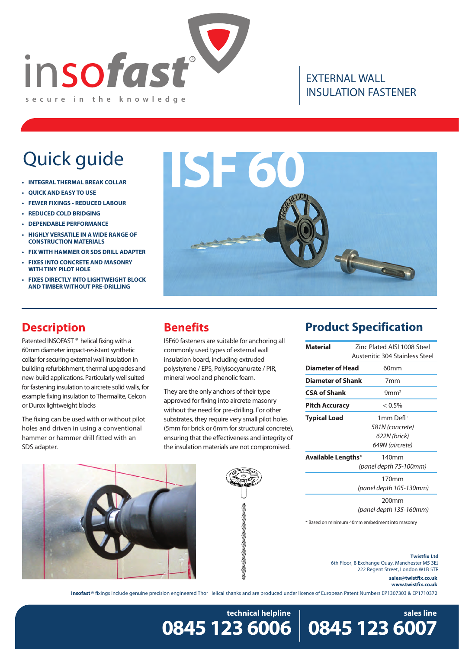![](_page_4_Picture_0.jpeg)

### EXTERNAL WALL INSULATION FASTENER

- **INTEGRAL THERMAL BREAK COLLAR**
- **QUICK AND EASY TO USE**
- **FEWER FIXINGS REDUCED LABOUR**
- **REDUCED COLD BRIDGING**
- **DEPENDABLE PERFORMANCE**
- **HIGHLY VERSATILE IN A WIDE RANGE OF CONSTRUCTION MATERIALS**
- **FIX WITH HAMMER OR SDS DRILL ADAPTER**
- **FIXES INTO CONCRETE AND MASONRY WITH TINY PILOT HOLE**
- **FIXES DIRECTLY INTO LIGHTWEIGHT BLOCK AND TIMBER WITHOUT PRE-DRILLING**

### **Description**

Patented INSOFAST<sup>®</sup> helical fixing with a 60mm diameter impact-resistant synthetic collar for securing external wall insulation in building refurbishment, thermal upgrades and new-build applications. Particularly well suited for fastening insulation to aircrete solid walls, for example fixing insulation to Thermalite, Celcon or Durox lightweight blocks

The fixing can be used with or without pilot holes and driven in using a conventional hammer or hammer drill fitted with an SDS adapter.

### **Benefits**

ISF60 fasteners are suitable for anchoring all commonly used types of external wall insulation board, including extruded polystyrene / EPS, Polyisocyanurate / PIR, mineral wool and phenolic foam.

They are the only anchors of their type approved for fixing into aircrete masonry without the need for pre-drilling. For other substrates, they require very small pilot holes (5mm for brick or 6mm for structural concrete), ensuring that the effectiveness and integrity of the insulation materials are not compromised.

![](_page_4_Picture_18.jpeg)

![](_page_4_Picture_19.jpeg)

### **Product Specification**

| <b>Material</b>           | Zinc Plated AISI 1008 Steel<br>Austenitic 304 Stainless Steel |
|---------------------------|---------------------------------------------------------------|
| <b>Diameter of Head</b>   | 60 <sub>mm</sub>                                              |
| <b>Diameter of Shank</b>  | 7mm                                                           |
| <b>CSA of Shank</b>       | 9mm <sup>2</sup>                                              |
| <b>Pitch Accuracy</b>     | $< 0.5\%$                                                     |
| <b>Typical Load</b>       | 1mm Defl <sup>n</sup>                                         |
|                           | 581N (concrete)                                               |
|                           | 622N (brick)                                                  |
|                           | 649N (aircrete)                                               |
| <b>Available Lengths*</b> | 140 <sub>mm</sub>                                             |
|                           | (panel depth 75-100mm)                                        |
|                           | 170mm                                                         |
|                           | (panel depth 105-130mm)                                       |

200mm

(panel depth 135-160mm)

\* Based on minimum 40mm embedment into masonry

**Twistfix Ltd** 6th Floor, 8 Exchange Quay, Manchester M5 3EJ 222 Regent Street, London W1B 5TR

### **sales@twistfix.co.uk www.twistfix.co.uk**

**sales line** 

**Insofast** ® fixings include genuine precision engineered Thor Helical shanks and are produced under licence of European Patent Numbers EP1307303 & EP1710372

**0845 123 6006 technical helpline** 

**0845 123 6007**

# Quick guide **ISF 60**

![](_page_4_Picture_31.jpeg)